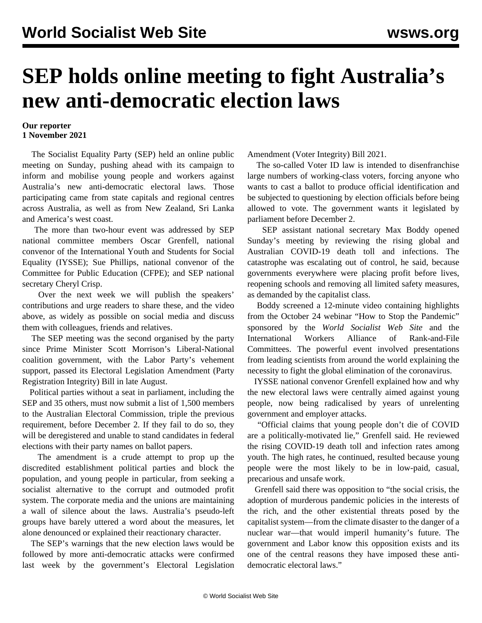## **SEP holds online meeting to fight Australia's new anti-democratic election laws**

## **Our reporter 1 November 2021**

 The Socialist Equality Party (SEP) held an online public meeting on Sunday, pushing ahead with its campaign to inform and mobilise young people and workers against Australia's new anti-democratic electoral laws. Those participating came from state capitals and regional centres across Australia, as well as from New Zealand, Sri Lanka and America's west coast.

 The more than two-hour event was addressed by SEP national committee members Oscar Grenfell, national convenor of the International Youth and Students for Social Equality (IYSSE); Sue Phillips, national convenor of the Committee for Public Education (CFPE); and SEP national secretary Cheryl Crisp.

 Over the next week we will publish the speakers' contributions and urge readers to share these, and the video above, as widely as possible on social media and discuss them with colleagues, friends and relatives.

 The SEP meeting was the second organised by the party since Prime Minister Scott Morrison's Liberal-National coalition government, with the Labor Party's vehement support, passed its Electoral Legislation Amendment (Party Registration Integrity) Bill in late August.

 Political parties without a seat in parliament, including the SEP and 35 others, must now submit a list of 1,500 members to the Australian Electoral Commission, triple the previous requirement, before December 2. If they fail to do so, they will be deregistered and unable to stand candidates in federal elections with their party names on ballot papers.

 The amendment is a crude attempt to prop up the discredited establishment political parties and block the population, and young people in particular, from seeking a socialist alternative to the corrupt and outmoded profit system. The corporate media and the unions are maintaining a wall of silence about the laws. Australia's pseudo-left groups have barely uttered a word about the measures, let alone denounced or explained their reactionary character.

 The SEP's warnings that the new election laws would be followed by more anti-democratic attacks were confirmed last week by the government's Electoral Legislation Amendment (Voter Integrity) Bill 2021.

 The so-called [Voter ID law](/en/articles/2021/10/30/elec-o30.html) is intended to disenfranchise large numbers of working-class voters, forcing anyone who wants to cast a ballot to produce official identification and be subjected to questioning by election officials before being allowed to vote. The government wants it legislated by parliament before December 2.

 SEP assistant national secretary Max Boddy opened Sunday's meeting by reviewing the rising global and Australian COVID-19 death toll and infections. The catastrophe was escalating out of control, he said, because governments everywhere were placing profit before lives, reopening schools and removing all limited safety measures, as demanded by the capitalist class.

 Boddy screened a 12-minute video containing highlights from the October 24 webinar "[How to Stop the Pandemic"](/en/special/pages/how-to-end-the-pandemic.html) sponsored by the *World Socialist Web Site* and the International Workers Alliance of Rank-and-File Committees. The powerful event involved presentations from leading scientists from around the world explaining the necessity to fight the global elimination of the coronavirus.

 IYSSE national convenor Grenfell explained how and why the new electoral laws were centrally aimed against young people, now being radicalised by years of unrelenting government and employer attacks.

 "Official claims that young people don't die of COVID are a politically-motivated lie," Grenfell said. He reviewed the rising COVID-19 death toll and infection rates among youth. The high rates, he continued, resulted because young people were the most likely to be in low-paid, casual, precarious and unsafe work.

 Grenfell said there was opposition to "the social crisis, the adoption of murderous pandemic policies in the interests of the rich, and the other existential threats posed by the capitalist system—from the climate disaster to the danger of a nuclear war—that would imperil humanity's future. The government and Labor know this opposition exists and its one of the central reasons they have imposed these antidemocratic electoral laws."